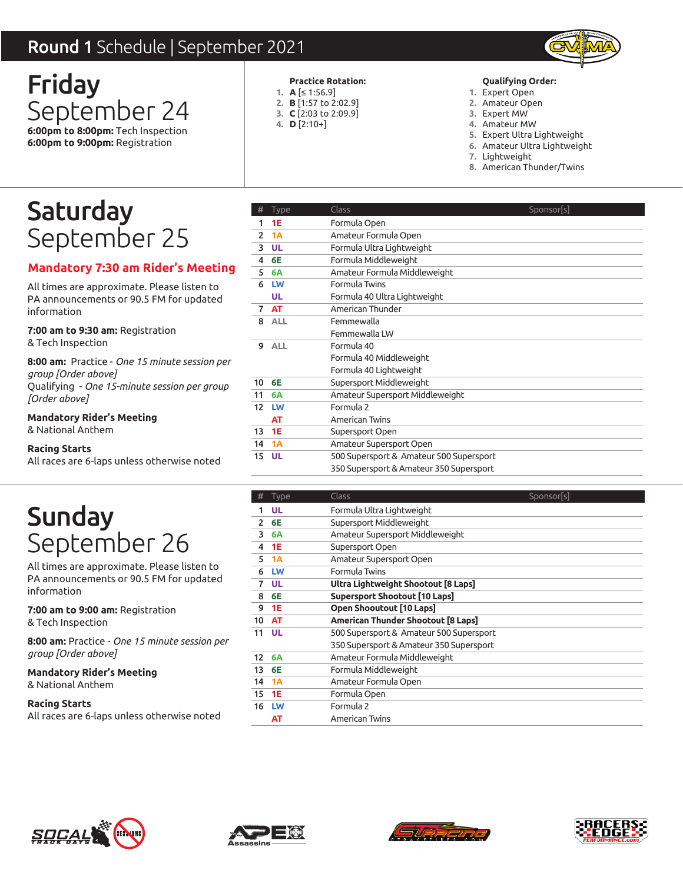### Round 1 Schedule | September 2021



Friday September 24 **6:00pm to 8:00pm:** Tech Inspection **6:00pm to 9:00pm:** Registration

#### **Practice Rotation:**

- **A** [≤ 1:56.9] **1.**
- **B** [1:57 to 2:02.9] **2.**
- **C** [2:03 to 2:09.9] **3.**
- **D** [2:10+] **4.**

#### **Qualifying Order:**

- Expert Open **1.**
- Amateur Open **2.**
- Expert MW **3.**
- Amateur MW **4.**
- Expert Ultra Lightweight **5.**
- Amateur Ultra Lightweight **6.**
- 7. Lightweight
- American Thunder/Twins **8.**

# Saturday September 25

### **Mandatory 7:30 am Rider's Meeting**

All times are approximate. Please listen to PA announcements or 90.5 FM for updated information

**7:00 am to 9:30 am:** Registration & Tech Inspection

**8:00 am:** Practice - *One 15 minute session per group [Order above]* Qualifying - *One 15-minute session per group [Order above]*

**Mandatory Rider's Meeting**

& National Anthem

**Racing Starts**

All races are 6-laps unless otherwise noted

# Sunday September 26

All times are approximate. Please listen to PA announcements or 90.5 FM for updated information

**7:00 am to 9:00 am:** Registration & Tech Inspection

**8:00 am:** Practice - *One 15 minute session per group [Order above]*

**Mandatory Rider's Meeting** & National Anthem

| <b>d 1</b> Schedule   September 2021                                      |                                                          |                                                                                    |                                                                                                                                                                                                              |
|---------------------------------------------------------------------------|----------------------------------------------------------|------------------------------------------------------------------------------------|--------------------------------------------------------------------------------------------------------------------------------------------------------------------------------------------------------------|
| day<br>tember 24<br>to 8:00pm: Tech Inspection<br>to 9:00pm: Registration | 1. $A \leq 1:56.9$<br>4. $D$ [2:10+]                     | <b>Practice Rotation:</b><br>2. <b>B</b> [1:57 to 2:02.9]<br>3. C [2:03 to 2:09.9] | <b>Qualifying Order:</b><br>1. Expert Open<br>2. Amateur Open<br>3. Expert MW<br>4. Amateur MW<br>5. Expert Ultra Lightweight<br>6. Amateur Ultra Lightweight<br>7. Lightweight<br>8. American Thunder/Twins |
| urday                                                                     | <b>Type</b>                                              | Class                                                                              | Sponsor[s]                                                                                                                                                                                                   |
| tember 25                                                                 | 1 1E<br>1A<br>2<br><b>UL</b><br>3                        | Formula Open<br>Amateur Formula Open<br>Formula Ultra Lightweight                  |                                                                                                                                                                                                              |
| tory 7:30 am Rider's Meeting<br>are approximate. Please listen to         | <b>6E</b><br>4<br>5<br><b>6A</b><br><b>LW</b><br>6       | Formula Middleweight<br>Amateur Formula Middleweight<br>Formula Twins              |                                                                                                                                                                                                              |
| uncements or 90.5 FM for updated<br>ion:<br>to 9:30 am: Registration      | <b>UL</b><br><b>AT</b><br>$7^{\circ}$<br>8<br><b>ALL</b> | Formula 40 Ultra Lightweight<br>American Thunder<br>Femmewalla<br>Femmewalla LW    |                                                                                                                                                                                                              |
| <b>spection</b><br>Practice - One 15 minute session per<br>rder above]    | 9 ALL                                                    | Formula 40<br>Formula 40 Middleweight<br>Formula 40 Lightweight                    |                                                                                                                                                                                                              |
| ng - One 15-minute session per group<br>bove]                             | 10 6E<br>11 6A<br>12 LW                                  | Supersport Middleweight<br>Amateur Supersport Middleweight<br>Formula 2            |                                                                                                                                                                                                              |
| ory Rider's Meeting<br>ial Anthem                                         | AT<br>13 1E<br>14 1A                                     | American Twins<br>Supersport Open<br>Amateur Supersport Open                       |                                                                                                                                                                                                              |
| itarts<br>are 6-laps unless otherwise noted                               | <b>15 UL</b>                                             | 500 Supersport & Amateur 500 Supersport<br>350 Supersport & Amateur 350 Supersport |                                                                                                                                                                                                              |
|                                                                           | <b>Type</b><br>#                                         | <b>Class</b>                                                                       | Sponsor[s]                                                                                                                                                                                                   |
| nday                                                                      | 1 UL<br>2 6E                                             | Formula Ultra Lightweight<br>Supersport Middleweight                               |                                                                                                                                                                                                              |
| tember 26                                                                 | 3<br>6A                                                  | Amateur Supersport Middleweight                                                    |                                                                                                                                                                                                              |
|                                                                           | <b>1E</b><br>4                                           | Supersport Open                                                                    |                                                                                                                                                                                                              |
| are approximate. Please listen to                                         | 1A<br>5<br>LW<br>6                                       | Amateur Supersport Open<br>Formula Twins                                           |                                                                                                                                                                                                              |
| uncements or 90.5 FM for updated                                          | <b>UL</b><br>$\mathbf{7}$                                | Ultra Lightweight Shootout [8 Laps]                                                |                                                                                                                                                                                                              |
| ion:                                                                      | 6E<br>8                                                  | <b>Supersport Shootout [10 Laps]</b>                                               |                                                                                                                                                                                                              |
| to 9:00 am: Registration                                                  | 9 1E                                                     | Open Shooutout [10 Laps]                                                           |                                                                                                                                                                                                              |
| <b>spection</b>                                                           | AT<br>10                                                 | American Thunder Shootout [8 Laps]                                                 |                                                                                                                                                                                                              |
| Practice - One 15 minute session per                                      | 11 UL                                                    | 500 Supersport & Amateur 500 Supersport<br>350 Supersport & Amateur 350 Supersport |                                                                                                                                                                                                              |
| rder above]                                                               | 12 6A                                                    | Amateur Formula Middleweight                                                       |                                                                                                                                                                                                              |
| ory Rider's Meeting<br>ıal Anthem                                         | 13 6E<br>14 1A                                           | Formula Middleweight<br>Amateur Formula Open                                       |                                                                                                                                                                                                              |
| itarts                                                                    | 15 1E                                                    | Formula Open                                                                       |                                                                                                                                                                                                              |
|                                                                           | 16 LW<br>AT                                              | Formula 2<br>American Twins                                                        |                                                                                                                                                                                                              |

|    |             | Class                                   |            |
|----|-------------|-----------------------------------------|------------|
| #  | <b>Type</b> |                                         | Sponsor[s] |
|    | UL          | Formula Ultra Lightweight               |            |
| 2  | 6E          | Supersport Middleweight                 |            |
| 3  | <b>6A</b>   | Amateur Supersport Middleweight         |            |
| 4  | 1E          | Supersport Open                         |            |
| 5  | 1A          | Amateur Supersport Open                 |            |
| 6  | LW          | Formula Twins                           |            |
| 7  | UL          | Ultra Lightweight Shootout [8 Laps]     |            |
| 8  | 6E          | Supersport Shootout [10 Laps]           |            |
| 9  | 1E          | Open Shooutout [10 Laps]                |            |
| 10 | <b>AT</b>   | American Thunder Shootout [8 Laps]      |            |
| 11 | UL          | 500 Supersport & Amateur 500 Supersport |            |
|    |             | 350 Supersport & Amateur 350 Supersport |            |
| 12 | <b>6A</b>   | Amateur Formula Middleweight            |            |
| 13 | 6E          | Formula Middleweight                    |            |
| 14 | 1A          | Amateur Formula Open                    |            |
| 15 | <b>1E</b>   | Formula Open                            |            |
| 16 | LW          | Formula 2                               |            |
|    | ΑТ          | American Twins                          |            |
|    |             |                                         |            |







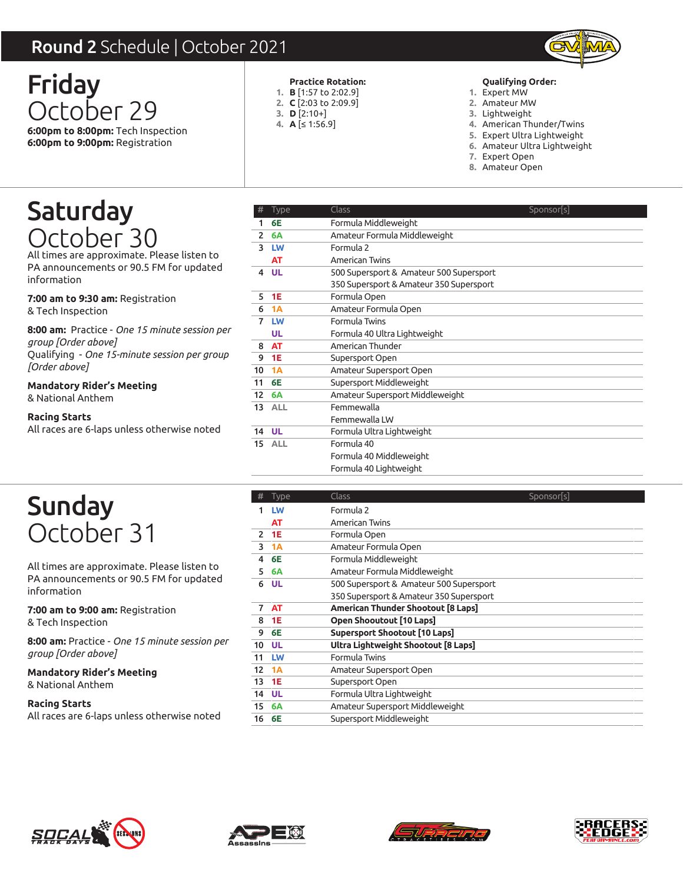### Round 2 Schedule | October 2021



Friday October 29 **6:00pm to 8:00pm:** Tech Inspection **6:00pm to 9:00pm:** Registration

#### **Practice Rotation:**

- **B** [1:57 to 2:02.9] **1. C** [2:03 to 2:09.9] **2.**
- **D** [2:10+] **3.**
- **A** [≤ 1:56.9] **4.**

#### **Qualifying Order:**

- Expert MW **1.**
- Amateur MW **2.**
- 3. Lightweight
- 4. American Thunder/Twins
- Expert Ultra Lightweight **5.**
- Amateur Ultra Lightweight **6.**
- Expert Open **7.**
- Amateur Open **8.**

## Saturday October 30

All times are approximate. Please listen to PA announcements or 90.5 FM for updated information

**7:00 am to 9:30 am:** Registration & Tech Inspection

**8:00 am:** Practice - *One 15 minute session per group [Order above]*

Qualifying - *One 15-minute session per group [Order above]*

**Mandatory Rider's Meeting** & National Anthem

**Racing Starts**

All races are 6-laps unless otherwise noted

| <b>nd 2</b> Schedule   October 2021 |                                                                                                                                            |
|-------------------------------------|--------------------------------------------------------------------------------------------------------------------------------------------|
|                                     | <b>Practice Rotation:</b><br><b>Qualifying Order:</b>                                                                                      |
|                                     | 1. <b>B</b> $[1:57$ to 2:02.9]<br>1. Expert MW<br>2. C [2:03 to 2:09.9]<br>2. Amateur MW                                                   |
|                                     | 3. $D$ [2:10+]<br>3. Lightweight                                                                                                           |
|                                     | 4. American Thunder/Twins<br>4. A $\leq$ 1:56.9]<br>5. Expert Ultra Lightweight                                                            |
|                                     | 6. Amateur Ultra Lightweight                                                                                                               |
|                                     | 7. Expert Open                                                                                                                             |
|                                     | 8. Amateur Open                                                                                                                            |
|                                     | <b>Class</b><br>Sponsor s                                                                                                                  |
| <b>6E</b><br>1                      | Formula Middleweight                                                                                                                       |
| 6A<br>2                             | Amateur Formula Middleweight                                                                                                               |
| 3 LW                                | Formula 2                                                                                                                                  |
| AT                                  | <b>American Twins</b>                                                                                                                      |
| UL<br>4                             | 500 Supersport & Amateur 500 Supersport                                                                                                    |
|                                     | 350 Supersport & Amateur 350 Supersport                                                                                                    |
|                                     | Formula Open<br>Amateur Formula Open                                                                                                       |
|                                     | Formula Twins                                                                                                                              |
| UL                                  | Formula 40 Ultra Lightweight                                                                                                               |
| <b>AT</b><br>8                      | American Thunder                                                                                                                           |
| 9<br><b>1E</b>                      | Supersport Open                                                                                                                            |
| 1A<br>10                            | Amateur Supersport Open                                                                                                                    |
| 6E<br>11                            | Supersport Middleweight                                                                                                                    |
| 12<br>6A                            | Amateur Supersport Middleweight                                                                                                            |
|                                     | Femmewalla                                                                                                                                 |
|                                     | Femmewalla LW                                                                                                                              |
|                                     | Formula Ultra Lightweight<br>Formula 40                                                                                                    |
|                                     | Formula 40 Middleweight                                                                                                                    |
|                                     | Formula 40 Lightweight                                                                                                                     |
| #<br><b>Type</b>                    | <b>Class</b><br>Sponsor[s]                                                                                                                 |
| LW                                  | Formula 2                                                                                                                                  |
| <b>AT</b>                           | American Twins                                                                                                                             |
| 1E<br>2                             | Formula Open                                                                                                                               |
|                                     | Amateur Formula Open                                                                                                                       |
|                                     | Formula Middleweight<br>Amateur Formula Middleweight                                                                                       |
|                                     | 500 Supersport & Amateur 500 Supersport                                                                                                    |
|                                     | 350 Supersport & Amateur 350 Supersport                                                                                                    |
| <b>AT</b><br>7                      | <b>American Thunder Shootout [8 Laps]</b>                                                                                                  |
| <b>1E</b><br>8                      | Open Shooutout [10 Laps]                                                                                                                   |
| 6E<br>9                             | <b>Supersport Shootout [10 Laps]</b>                                                                                                       |
| UL<br>10                            | Ultra Lightweight Shootout [8 Laps]                                                                                                        |
| LW<br>11                            | Formula Twins                                                                                                                              |
|                                     | Amateur Supersport Open                                                                                                                    |
| 1A<br>12                            |                                                                                                                                            |
| <b>1E</b><br>13                     | Supersport Open                                                                                                                            |
| UL<br>14<br>15<br>6A                | Formula Ultra Lightweight<br>Amateur Supersport Middleweight                                                                               |
|                                     | <b>Type</b><br>5<br><b>1E</b><br>1A<br>6<br>7 LW<br>13 ALL<br><b>UL</b><br>14<br>15 ALL<br>3<br>1A<br>6E<br>4<br>5<br>6A<br><b>UL</b><br>6 |

## Sunday October 31

All times are approximate. Please listen to PA announcements or 90.5 FM for updated information

**7:00 am to 9:00 am:** Registration & Tech Inspection

**8:00 am:** Practice - *One 15 minute session per group [Order above]*

**Mandatory Rider's Meeting** & National Anthem

| #             | <b>Type</b> | Class                                   | Sponsor[s] |
|---------------|-------------|-----------------------------------------|------------|
|               | LW          | Formula 2                               |            |
|               | AT          | American Twins                          |            |
| $\mathcal{P}$ | 1E          | Formula Open                            |            |
| 3             | 1A          | Amateur Formula Open                    |            |
| 4             | 6E          | Formula Middleweight                    |            |
| 5             | 6A          | Amateur Formula Middleweight            |            |
| 6             | UL          | 500 Supersport & Amateur 500 Supersport |            |
|               |             | 350 Supersport & Amateur 350 Supersport |            |
| 7             | AT          | American Thunder Shootout [8 Laps]      |            |
| 8             | 1E          | Open Shooutout [10 Laps]                |            |
| 9             | 6E          | <b>Supersport Shootout [10 Laps]</b>    |            |
| 10            | <b>UL</b>   | Ultra Lightweight Shootout [8 Laps]     |            |
| 11            | LW          | Formula Twins                           |            |
| 12            | 1A          | Amateur Supersport Open                 |            |
| 13            | <b>1E</b>   | Supersport Open                         |            |
| 14 UL         |             | Formula Ultra Lightweight               |            |
| 15            | 6A          | Amateur Supersport Middleweight         |            |
| 16            | 6E          | Supersport Middleweight                 |            |







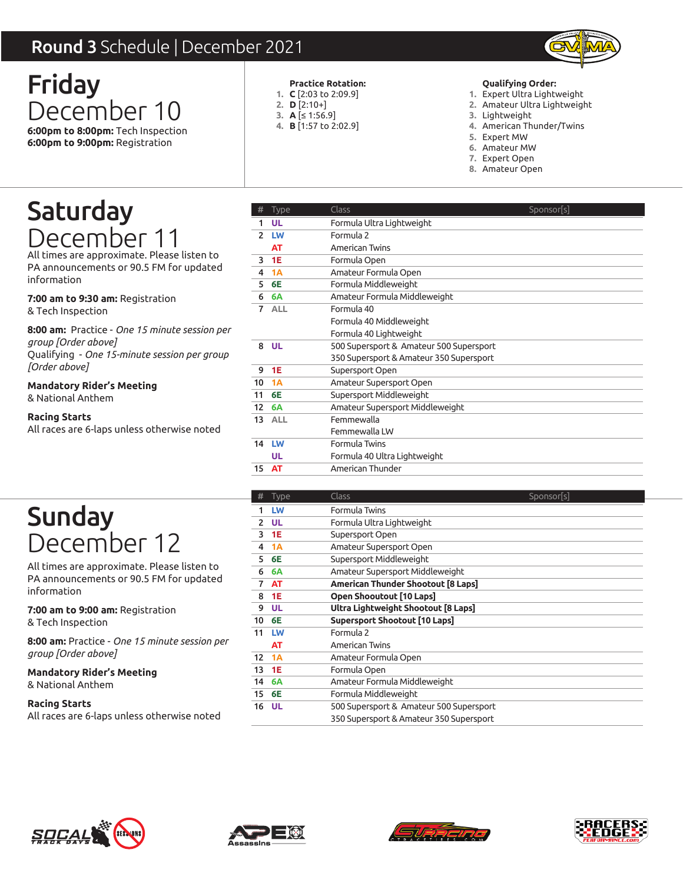### Round 3 Schedule | December 2021



Friday December 10 **6:00pm to 8:00pm:** Tech Inspection **6:00pm to 9:00pm:** Registration

#### **Practice Rotation:**

- **C** [2:03 to 2:09.9] **1.**
- **D** [2:10+] **2.**
- **A** [≤ 1:56.9] **3.**
- **B** [1:57 to 2:02.9] **4.**

#### **Qualifying Order:**

- Expert Ultra Lightweight **1.**
- Amateur Ultra Lightweight **2.**
- 3. Lightweight
- American Thunder/Twins **4.**
- 5. Expert MW
- Amateur MW **6.**
- Expert Open **7.**
- Amateur Open **8.**

## Saturday December 11

All times are approximate. Please listen to PA announcements or 90.5 FM for updated information

**7:00 am to 9:30 am:** Registration & Tech Inspection

**8:00 am:** Practice - *One 15 minute session per group [Order above]*

Qualifying - *One 15-minute session per group [Order above]*

**Mandatory Rider's Meeting** & National Anthem

#### **Racing Starts**

All races are 6-laps unless otherwise noted

|                                                                                                                                                                                              | <b>nd 3</b> Schedule   December 2021     |                                                                                                                                                                                                                                                                                               |
|----------------------------------------------------------------------------------------------------------------------------------------------------------------------------------------------|------------------------------------------|-----------------------------------------------------------------------------------------------------------------------------------------------------------------------------------------------------------------------------------------------------------------------------------------------|
| day<br>cember 10<br>to 8:00pm: Tech Inspection<br>to 9:00pm: Registration                                                                                                                    | 2. $D [2:10+]$<br>3. $A [ \leq 1:56.9 ]$ | Qualifying Order:<br><b>Practice Rotation:</b><br>1. $C$ [2:03 to 2:09.9]<br>1. Expert Ultra Lightweight<br>2. Amateur Ultra Lightweight<br>3. Lightweight<br>4. <b>B</b> [1:57 to 2:02.9]<br>4. American Thunder/Twins<br>5. Expert MW<br>6. Amateur MW<br>7. Expert Open<br>8. Amateur Open |
|                                                                                                                                                                                              |                                          |                                                                                                                                                                                                                                                                                               |
| :urday                                                                                                                                                                                       | <b>Type</b><br><b>UL</b><br>1.           | <b>Class</b><br>Sponsor[s]                                                                                                                                                                                                                                                                    |
|                                                                                                                                                                                              | 2 LW                                     | Formula Ultra Lightweight<br>Formula 2                                                                                                                                                                                                                                                        |
| cember 11                                                                                                                                                                                    | <b>AT</b>                                | American Twins                                                                                                                                                                                                                                                                                |
| s are approximate. Please listen to                                                                                                                                                          | <b>1E</b><br>3                           | Formula Open                                                                                                                                                                                                                                                                                  |
| ouncements or 90.5 FM for updated<br>tion                                                                                                                                                    | 1A<br>4                                  | Amateur Formula Open                                                                                                                                                                                                                                                                          |
|                                                                                                                                                                                              | 6E<br>5                                  | Formula Middleweight                                                                                                                                                                                                                                                                          |
| to 9:30 am: Registration                                                                                                                                                                     | 6A<br>6<br>7 ALL                         | Amateur Formula Middleweight<br>Formula 40                                                                                                                                                                                                                                                    |
| nspection                                                                                                                                                                                    |                                          | Formula 40 Middleweight                                                                                                                                                                                                                                                                       |
| : Practice - One 15 minute session per                                                                                                                                                       |                                          | Formula 40 Lightweight                                                                                                                                                                                                                                                                        |
| Order above]                                                                                                                                                                                 | 8 UL                                     | 500 Supersport & Amateur 500 Supersport                                                                                                                                                                                                                                                       |
| ng - One 15-minute session per group                                                                                                                                                         |                                          | 350 Supersport & Amateur 350 Supersport                                                                                                                                                                                                                                                       |
| 1bove]                                                                                                                                                                                       | 1E<br>9                                  | Supersport Open                                                                                                                                                                                                                                                                               |
| ory Rider's Meeting:                                                                                                                                                                         | 1A<br>10                                 | Amateur Supersport Open                                                                                                                                                                                                                                                                       |
| nal Anthem                                                                                                                                                                                   | 6E<br>11<br>12<br>6A                     | Supersport Middleweight<br>Amateur Supersport Middleweight                                                                                                                                                                                                                                    |
| Starts                                                                                                                                                                                       |                                          |                                                                                                                                                                                                                                                                                               |
|                                                                                                                                                                                              |                                          |                                                                                                                                                                                                                                                                                               |
|                                                                                                                                                                                              | 13 ALL                                   | Femmewalla<br>Femmewalla LW                                                                                                                                                                                                                                                                   |
|                                                                                                                                                                                              | 14 LW                                    | Formula Twins                                                                                                                                                                                                                                                                                 |
| s are 6-laps unless otherwise noted                                                                                                                                                          | UL.                                      | Formula 40 Ultra Lightweight                                                                                                                                                                                                                                                                  |
|                                                                                                                                                                                              | 15 AT                                    | American Thunder                                                                                                                                                                                                                                                                              |
|                                                                                                                                                                                              |                                          |                                                                                                                                                                                                                                                                                               |
|                                                                                                                                                                                              | #<br>Type                                | Class<br>Sponsor[s]                                                                                                                                                                                                                                                                           |
|                                                                                                                                                                                              | LW<br>1                                  | Formula Twins                                                                                                                                                                                                                                                                                 |
|                                                                                                                                                                                              | 2 UL                                     | Formula Ultra Lightweight                                                                                                                                                                                                                                                                     |
|                                                                                                                                                                                              | <b>1E</b><br>3<br>1A<br>4                | Supersport Open<br>Amateur Supersport Open                                                                                                                                                                                                                                                    |
|                                                                                                                                                                                              | 6E<br>5                                  | Supersport Middleweight                                                                                                                                                                                                                                                                       |
| ndav<br>cember 12<br>s are approximate. Please listen to                                                                                                                                     | 6<br><b>6A</b>                           | Amateur Supersport Middleweight                                                                                                                                                                                                                                                               |
|                                                                                                                                                                                              | <b>AT</b><br>7                           | American Thunder Shootout [8 Laps]                                                                                                                                                                                                                                                            |
|                                                                                                                                                                                              | <b>1E</b><br>8                           | Open Shooutout [10 Laps]                                                                                                                                                                                                                                                                      |
|                                                                                                                                                                                              | <b>UL</b><br>9                           | Ultra Lightweight Shootout [8 Laps]                                                                                                                                                                                                                                                           |
|                                                                                                                                                                                              | 6E<br>10                                 | <b>Supersport Shootout [10 Laps]</b>                                                                                                                                                                                                                                                          |
|                                                                                                                                                                                              | 11 LW<br>AT                              | Formula 2<br>American Twins                                                                                                                                                                                                                                                                   |
|                                                                                                                                                                                              | 12 1A                                    | Amateur Formula Open                                                                                                                                                                                                                                                                          |
|                                                                                                                                                                                              | 13 1E                                    | Formula Open                                                                                                                                                                                                                                                                                  |
|                                                                                                                                                                                              | <b>6A</b><br>14                          | Amateur Formula Middleweight                                                                                                                                                                                                                                                                  |
| ouncements or 90.5 FM for updated<br>tion<br>to 9:00 am: Registration<br>nspection<br>: Practice - One 15 minute session per<br>Order above]<br>ory Rider's Meeting:<br>nal Anthem<br>Starts | 6E<br>15<br><b>UL</b><br>16              | Formula Middleweight<br>500 Supersport & Amateur 500 Supersport                                                                                                                                                                                                                               |

## Sunday December 12

All times are approximate. Please listen to PA announcements or 90.5 FM for updated information

**7:00 am to 9:00 am:** Registration & Tech Inspection

**8:00 am:** Practice - *One 15 minute session per group [Order above]*

**Mandatory Rider's Meeting** & National Anthem

| #             | <b>Type</b> | Class                                     | Sponsor[s] |
|---------------|-------------|-------------------------------------------|------------|
| 1             | LW          | Formula Twins                             |            |
| $\mathcal{P}$ | UL          | Formula Ultra Lightweight                 |            |
| 3             | <b>1E</b>   | Supersport Open                           |            |
| 4             | 1A          | Amateur Supersport Open                   |            |
| 5             | 6E          | Supersport Middleweight                   |            |
| 6             | <b>6A</b>   | Amateur Supersport Middleweight           |            |
| 7             | AT          | <b>American Thunder Shootout [8 Laps]</b> |            |
| 8             | <b>1E</b>   | Open Shooutout [10 Laps]                  |            |
| 9             | <b>UL</b>   | Ultra Lightweight Shootout [8 Laps]       |            |
| 10            | 6E          | Supersport Shootout [10 Laps]             |            |
| 11            | LW          | Formula 2                                 |            |
|               | AT          | American Twins                            |            |
| 12            | 1A          | Amateur Formula Open                      |            |
| 13            | 1E          | Formula Open                              |            |
| 14            | 6A          | Amateur Formula Middleweight              |            |
| 15            | 6E          | Formula Middleweight                      |            |
| 16            | UL          | 500 Supersport & Amateur 500 Supersport   |            |
|               |             | 350 Supersport & Amateur 350 Supersport   |            |







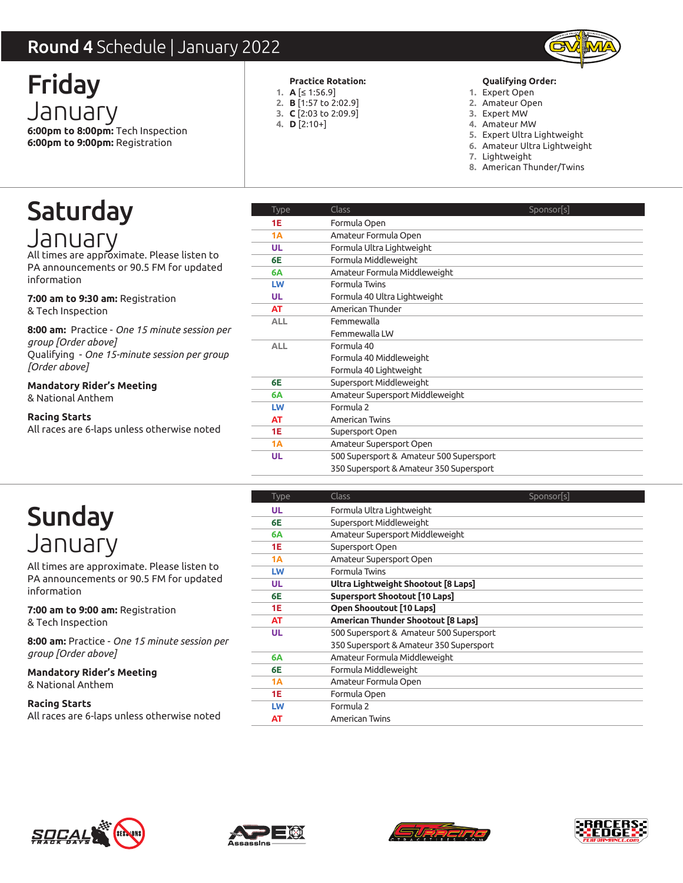### Round 4 Schedule | January 2022



Friday January **6:00pm to 8:00pm:** Tech Inspection **6:00pm to 9:00pm:** Registration

#### **Practice Rotation:**

- **A** [≤ 1:56.9] **1.**
- **B** [1:57 to 2:02.9] **2.**
- **C** [2:03 to 2:09.9] **3.**
- **D** [2:10+] **4.**

#### **Qualifying Order:**

- Expert Open **1.**
- Amateur Open **2.**
- Expert MW **3.**
- Amateur MW **4.**
- Expert Ultra Lightweight **5.**
- Amateur Ultra Lightweight **6.**
- 7. Lightweight
- American Thunder/Twins **8.**

### Saturday January

All times are approximate. Please listen to PA announcements or 90.5 FM for updated information

**7:00 am to 9:30 am:** Registration & Tech Inspection

**8:00 am:** Practice - *One 15 minute session per group [Order above]* Qualifying - *One 15-minute session per group [Order above]*

**Mandatory Rider's Meeting** & National Anthem

**Racing Starts**

All races are 6-laps unless otherwise noted

| <b>nd 4</b> Schedule   January 2022                  |                       |                                                                                          |
|------------------------------------------------------|-----------------------|------------------------------------------------------------------------------------------|
| day                                                  |                       | Qualifying Order:<br><b>Practice Rotation:</b>                                           |
|                                                      | 1. $A$ $\leq$ 1:56.9] | 1. Expert Open                                                                           |
| NUALY                                                |                       | 2. <b>B</b> [1:57 to 2:02.9]<br>2. Amateur Open<br>3. C [2:03 to 2:09.9]<br>3. Expert MW |
| to 8:00pm: Tech Inspection                           | 4. $D$ [2:10+]        | 4. Amateur MW                                                                            |
| to 9:00pm: Registration                              |                       | 5. Expert Ultra Lightweight                                                              |
|                                                      |                       | 6. Amateur Ultra Lightweight<br>7. Lightweight                                           |
|                                                      |                       | 8. American Thunder/Twins                                                                |
|                                                      |                       |                                                                                          |
| :urday                                               | Type                  | Class<br>Sponsor[s]                                                                      |
|                                                      | <b>1E</b><br>1A       | Formula Open                                                                             |
| IUALV                                                | <b>UL</b>             | Amateur Formula Open<br>Formula Ultra Lightweight                                        |
| s are approximate. Please listen to                  | 6E                    | Formula Middleweight                                                                     |
| ouncements or 90.5 FM for updated                    | 6A                    | Amateur Formula Middleweight                                                             |
| tion                                                 | LW                    | Formula Twins                                                                            |
| to 9:30 am: Registration                             | <b>UL</b>             | Formula 40 Ultra Lightweight                                                             |
| nspection                                            | AT                    | American Thunder                                                                         |
|                                                      | <b>ALL</b>            | Femmewalla                                                                               |
| : Practice - One 15 minute session per               |                       | Femmewalla LW                                                                            |
| Order above]<br>ng - One 15-minute session per group | <b>ALL</b>            | Formula 40                                                                               |
| 1bove]                                               |                       | Formula 40 Middleweight                                                                  |
|                                                      |                       | Formula 40 Lightweight                                                                   |
| ory Rider's Meeting:                                 | 6E                    | Supersport Middleweight                                                                  |
| nal Anthem                                           | 6A<br>LW              | Amateur Supersport Middleweight<br>Formula 2                                             |
| Starts                                               | AT                    | American Twins                                                                           |
| s are 6-laps unless otherwise noted                  | <b>1E</b>             | Supersport Open                                                                          |
|                                                      | 1A                    | Amateur Supersport Open                                                                  |
|                                                      | <b>UL</b>             | 500 Supersport & Amateur 500 Supersport                                                  |
|                                                      |                       | 350 Supersport & Amateur 350 Supersport                                                  |
|                                                      | Type                  | Class<br>Sponsor[s]                                                                      |
|                                                      | <b>UL</b>             | Formula Ultra Lightweight                                                                |
| nday                                                 | 6E                    | Supersport Middleweight                                                                  |
|                                                      | 6A                    | Amateur Supersport Middleweight                                                          |
| IUALY                                                | 1E                    | Supersport Open                                                                          |
| s are approximate. Please listen to                  | <b>1A</b>             | Amateur Supersport Open                                                                  |
| ouncements or 90.5 FM for updated                    | LW                    | Formula Twins                                                                            |
| tion                                                 | <b>UL</b><br>6E       | Ultra Lightweight Shootout [8 Laps]<br><b>Supersport Shootout [10 Laps]</b>              |
|                                                      | <b>1E</b>             | Open Shooutout [10 Laps]                                                                 |
| to 9:00 am: Registration                             | AT                    | American Thunder Shootout [8 Laps]                                                       |
| nspection                                            | <b>UL</b>             | 500 Supersport & Amateur 500 Supersport                                                  |
| : Practice - One 15 minute session per               |                       | 350 Supersport & Amateur 350 Supersport                                                  |
| Order above]                                         | 6A                    | Amateur Formula Middleweight                                                             |
| ory Rider's Meeting:                                 | 6E                    | Formula Middleweight                                                                     |
| nal Anthem                                           | 1A                    | Amateur Formula Open                                                                     |
|                                                      | 1E                    | Formula Open                                                                             |
| Starts                                               | LW                    | Formula 2                                                                                |
| s are 6-laps unless otherwise noted                  | AT                    | American Twins                                                                           |

## Sunday January

All times are approximate. Please listen to PA announcements or 90.5 FM for updated information

**7:00 am to 9:00 am:** Registration & Tech Inspection

**8:00 am:** Practice - *One 15 minute session per group [Order above]*

**Mandatory Rider's Meeting** & National Anthem

| Type | Class                                   | Sponsor[s] |
|------|-----------------------------------------|------------|
| UL   | Formula Ultra Lightweight               |            |
| 6Е   | Supersport Middleweight                 |            |
| 6A   | Amateur Supersport Middleweight         |            |
| 1E   | Supersport Open                         |            |
| 1A   | Amateur Supersport Open                 |            |
| LW   | Formula Twins                           |            |
| UL   | Ultra Lightweight Shootout [8 Laps]     |            |
| 6E   | Supersport Shootout [10 Laps]           |            |
| 1E   | Open Shooutout [10 Laps]                |            |
| AT   | American Thunder Shootout [8 Laps]      |            |
| UL   | 500 Supersport & Amateur 500 Supersport |            |
|      | 350 Supersport & Amateur 350 Supersport |            |
| 6A   | Amateur Formula Middleweight            |            |
| 6Е   | Formula Middleweight                    |            |
| 1A   | Amateur Formula Open                    |            |
| 1E   | Formula Open                            |            |
| LW   | Formula 2                               |            |
| AT   | American Twins                          |            |
|      |                                         |            |







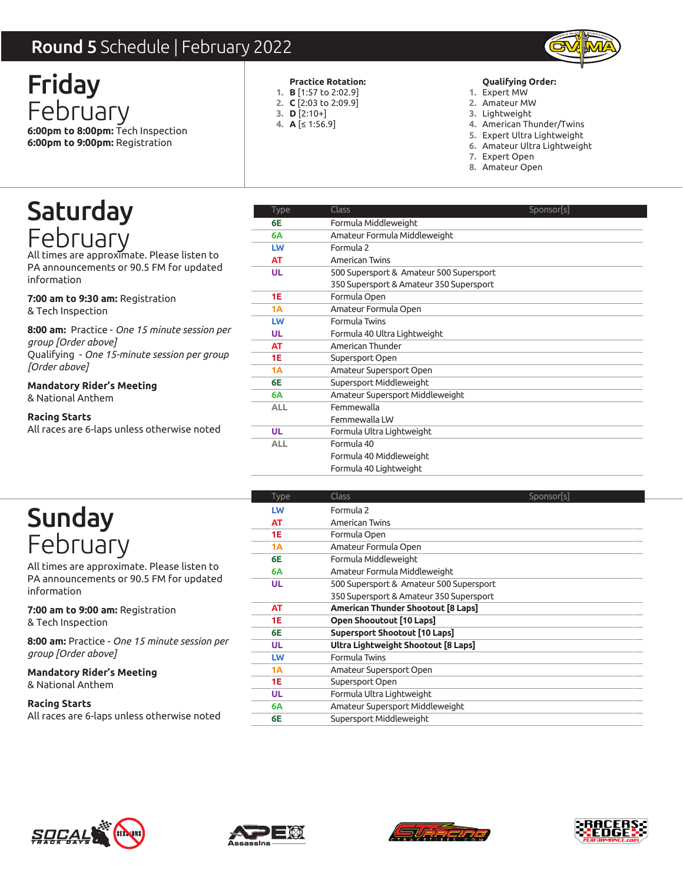### Round 5 Schedule | February 2022



Friday February **6:00pm to 8:00pm:** Tech Inspection **6:00pm to 9:00pm:** Registration

#### **Practice Rotation:**

- **B** [1:57 to 2:02.9] **1. C** [2:03 to 2:09.9] **2.**
- **D** [2:10+] **3.**
- **A** [≤ 1:56.9] **4.**

#### **Qualifying Order:**

- Expert MW **1.**
- Amateur MW **2.**
- 3. Lightweight
- 4. American Thunder/Twins
- Expert Ultra Lightweight **5.**
- Amateur Ultra Lightweight **6.**
- Expert Open **7.**
- Amateur Open **8.**

## Saturday February

All times are approximate. Please listen to PA announcements or 90.5 FM for updated information

**7:00 am to 9:30 am:** Registration & Tech Inspection

**8:00 am:** Practice - *One 15 minute session per group [Order above]* Qualifying - *One 15-minute session per group [Order above]*

**Mandatory Rider's Meeting** & National Anthem

#### **Racing Starts**

All races are 6-laps unless otherwise noted

| <b>nd 5</b> Schedule   February 2022                        |                    |                                                                                        |
|-------------------------------------------------------------|--------------------|----------------------------------------------------------------------------------------|
| day                                                         |                    | <b>Practice Rotation:</b><br><b>Qualifying Order:</b>                                  |
|                                                             |                    | 1. <b>B</b> [1:57 to 2:02.9]<br>1. Expert MW<br>2. C [2:03 to 2:09.9]<br>2. Amateur MW |
| oruary                                                      | 3. $D$ [2:10+]     | 3. Lightweight                                                                         |
| to 8:00pm: Tech Inspection                                  | 4. $A \leq 1:56.9$ | 4. American Thunder/Twins                                                              |
| to 9:00pm: Registration                                     |                    | 5. Expert Ultra Lightweight<br>6. Amateur Ultra Lightweight                            |
|                                                             |                    | 7. Expert Open                                                                         |
|                                                             |                    | 8. Amateur Open                                                                        |
|                                                             | Type               | <b>Class</b><br>Sponsor s                                                              |
| :urday                                                      | 6E                 | Formula Middleweight                                                                   |
|                                                             | 6A                 | Amateur Formula Middleweight                                                           |
| pruarv                                                      | LW                 | Formula 2                                                                              |
| s are approximate. Please listen to                         | AT                 | American Twins                                                                         |
| ouncements or 90.5 FM for updated                           | <b>UL</b>          | 500 Supersport & Amateur 500 Supersport                                                |
| tion                                                        |                    | 350 Supersport & Amateur 350 Supersport                                                |
| ı <b>to 9:30 am:</b> Registration                           | 1E                 | Formula Open                                                                           |
| nspection                                                   | 1A                 | Amateur Formula Open                                                                   |
| <b>:</b> Practice - One 15 minute session per               | LW                 | Formula Twins                                                                          |
| Order above]                                                | UL.                | Formula 40 Ultra Lightweight                                                           |
| ng - One 15-minute session per group                        | AT<br><b>1E</b>    | American Thunder<br>Supersport Open                                                    |
| 1bove]                                                      | 1A                 | Amateur Supersport Open                                                                |
| ory Rider's Meeting:                                        | 6E                 | Supersport Middleweight                                                                |
| nal Anthem                                                  | 6A                 | Amateur Supersport Middleweight                                                        |
|                                                             | <b>ALL</b>         | Femmewalla                                                                             |
| Starts                                                      |                    | Femmewalla LW                                                                          |
| s are 6-laps unless otherwise noted                         | <b>UL</b>          | Formula Ultra Lightweight                                                              |
|                                                             | <b>ALL</b>         | Formula 40                                                                             |
|                                                             |                    | Formula 40 Middleweight                                                                |
|                                                             |                    | Formula 40 Lightweight                                                                 |
|                                                             | Type               | Class<br>Sponsor[s]                                                                    |
|                                                             | LW                 | Formula 2                                                                              |
| nday                                                        | AT                 | American Twins                                                                         |
|                                                             | 1E                 | Formula Open                                                                           |
| Druary                                                      | <b>1A</b>          | Amateur Formula Open                                                                   |
| s are approximate. Please listen to                         | 6E                 | Formula Middleweight                                                                   |
| ouncements or 90.5 FM for updated                           | 6A                 | Amateur Formula Middleweight                                                           |
| tion                                                        | <b>UL</b>          | 500 Supersport & Amateur 500 Supersport                                                |
|                                                             |                    | 350 Supersport & Amateur 350 Supersport                                                |
| to 9:00 am: Registration                                    | AT<br>1E           | American Thunder Shootout [8 Laps]<br>Open Shooutout [10 Laps]                         |
| nspection                                                   | 6E                 | <b>Supersport Shootout [10 Laps]</b>                                                   |
| : Practice - One 15 minute session per                      | <b>UL</b>          | Ultra Lightweight Shootout [8 Laps]                                                    |
| Order above]                                                | LW                 | Formula Twins                                                                          |
| ory Rider's Meeting:                                        | 1A                 | Amateur Supersport Open                                                                |
|                                                             | 1E                 | Supersport Open                                                                        |
|                                                             | UL                 | Formula Ultra Lightweight                                                              |
|                                                             |                    | Amateur Supersport Middleweight                                                        |
| nal Anthem<br>Starts<br>s are 6-laps unless otherwise noted | 6A                 |                                                                                        |

## Sunday February

All times are approximate. Please listen to PA announcements or 90.5 FM for updated information

**7:00 am to 9:00 am:** Registration & Tech Inspection

**8:00 am:** Practice - *One 15 minute session per group [Order above]*

**Mandatory Rider's Meeting** & National Anthem

| <b>Type</b> | Class                                   | Sponsor[s] |
|-------------|-----------------------------------------|------------|
| LW          | Formula 2                               |            |
| <b>AT</b>   | American Twins                          |            |
| <b>1E</b>   | Formula Open                            |            |
| 1A          | Amateur Formula Open                    |            |
| 6E          | Formula Middleweight                    |            |
| 6A          | Amateur Formula Middleweight            |            |
| UL          | 500 Supersport & Amateur 500 Supersport |            |
|             | 350 Supersport & Amateur 350 Supersport |            |
| AT          | American Thunder Shootout [8 Laps]      |            |
| <b>1E</b>   | Open Shooutout [10 Laps]                |            |
| 6E          | <b>Supersport Shootout [10 Laps]</b>    |            |
| UL          | Ultra Lightweight Shootout [8 Laps]     |            |
| LW          | Formula Twins                           |            |
| 1A          | Amateur Supersport Open                 |            |
| <b>1E</b>   | Supersport Open                         |            |
| UL          | Formula Ultra Lightweight               |            |
| 6A          | Amateur Supersport Middleweight         |            |
| 6E          | Supersport Middleweight                 |            |
|             |                                         |            |







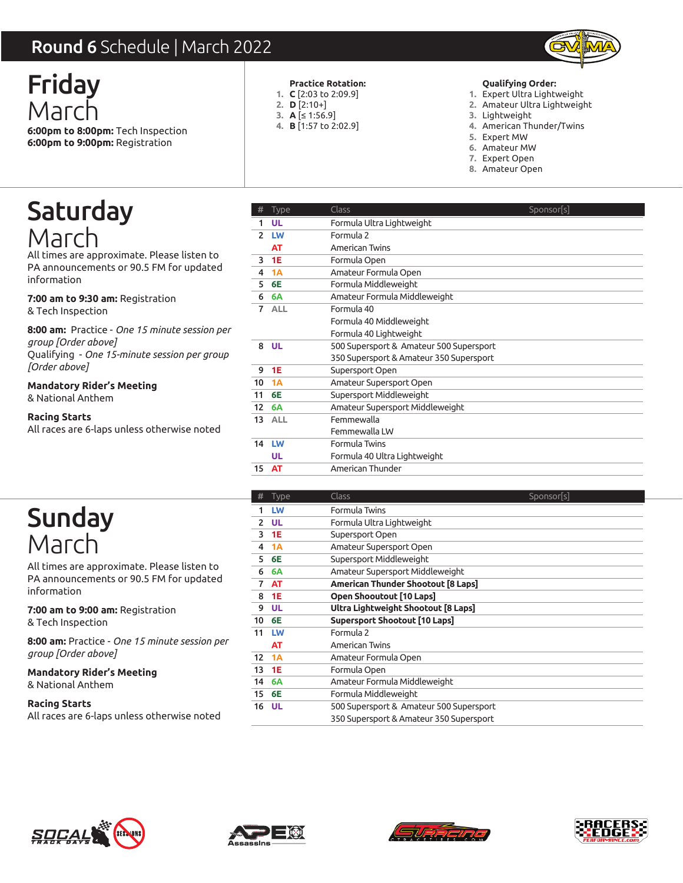### Round 6 Schedule | March 2022



Friday March **6:00pm to 8:00pm:** Tech Inspection **6:00pm to 9:00pm:** Registration

### **Practice Rotation:**

- **C** [2:03 to 2:09.9] **1.**
- **D** [2:10+] **2.**
- **A** [≤ 1:56.9] **3.**
- **B** [1:57 to 2:02.9] **4.**

#### **Qualifying Order:**

- Expert Ultra Lightweight **1.**
- Amateur Ultra Lightweight **2.**
- 3. Lightweight
- American Thunder/Twins **4.**
- 5. Expert MW
- Amateur MW **6.**
- Expert Open **7.**
- Amateur Open **8.**

Saturday March

All times are approximate. Please listen to PA announcements or 90.5 FM for updated information

**7:00 am to 9:30 am:** Registration & Tech Inspection

**8:00 am:** Practice - *One 15 minute session per group [Order above]*

Qualifying - *One 15-minute session per group [Order above]*

**Mandatory Rider's Meeting** & National Anthem

#### **Racing Starts**

All races are 6-laps unless otherwise noted

| $\mathsf{nd}$ 6 Schedule   March 2022                 |                                          |                                                                                                                                                                                                                         |
|-------------------------------------------------------|------------------------------------------|-------------------------------------------------------------------------------------------------------------------------------------------------------------------------------------------------------------------------|
| day                                                   | 2. $D [2:10+]$<br>3. $A [ \leq 1:56.9 ]$ | Qualifying Order:<br><b>Practice Rotation:</b><br>1. $C$ [2:03 to 2:09.9]<br>1. Expert Ultra Lightweight<br>2. Amateur Ultra Lightweight<br>3. Lightweight<br>4. <b>B</b> [1:57 to 2:02.9]<br>4. American Thunder/Twins |
| to 8:00pm: Tech Inspection<br>to 9:00pm: Registration |                                          | 5.Expert MW<br>6. Amateur MW<br>7. Expert Open<br>8. Amateur Open                                                                                                                                                       |
| :urday                                                | <b>Type</b><br>#                         | <b>Class</b><br>Sponsor[s]                                                                                                                                                                                              |
|                                                       | 1 UL<br>2 LW                             | Formula Ultra Lightweight<br>Formula 2                                                                                                                                                                                  |
| rch                                                   | <b>AT</b>                                | American Twins                                                                                                                                                                                                          |
| s are approximate. Please listen to                   | <b>1E</b><br>3                           | Formula Open                                                                                                                                                                                                            |
| ouncements or 90.5 FM for updated                     | 1A<br>4                                  | Amateur Formula Open                                                                                                                                                                                                    |
| tion                                                  | <b>6E</b><br>5                           | Formula Middleweight                                                                                                                                                                                                    |
| to 9:30 am: Registration                              | 6A<br>6                                  | Amateur Formula Middleweight                                                                                                                                                                                            |
| nspection                                             | 7 ALL                                    | Formula 40                                                                                                                                                                                                              |
| : Practice - One 15 minute session per                |                                          | Formula 40 Middleweight<br>Formula 40 Lightweight                                                                                                                                                                       |
| Order above]                                          | 8 UL                                     | 500 Supersport & Amateur 500 Supersport                                                                                                                                                                                 |
| ng - One 15-minute session per group                  |                                          | 350 Supersport & Amateur 350 Supersport                                                                                                                                                                                 |
| 1bove]                                                | 1E<br>9                                  | Supersport Open                                                                                                                                                                                                         |
| ory Rider's Meeting:                                  | 1A<br>10                                 | Amateur Supersport Open                                                                                                                                                                                                 |
| nal Anthem                                            | <b>6E</b><br>11                          | Supersport Middleweight                                                                                                                                                                                                 |
| Starts                                                | $12 \overline{ }$<br>6A<br>13 ALL        | Amateur Supersport Middleweight<br>Femmewalla                                                                                                                                                                           |
| s are 6-laps unless otherwise noted                   |                                          | Femmewalla LW                                                                                                                                                                                                           |
|                                                       | 14 LW                                    | Formula Twins                                                                                                                                                                                                           |
|                                                       | <b>UL</b>                                | Formula 40 Ultra Lightweight                                                                                                                                                                                            |
|                                                       | 15 AT                                    | American Thunder                                                                                                                                                                                                        |
|                                                       | #<br>Type                                | Class<br>Sponsor[s]                                                                                                                                                                                                     |
|                                                       | LW<br>1.                                 | Formula Twins                                                                                                                                                                                                           |
| nday                                                  | $2$ UL                                   | Formula Ultra Lightweight                                                                                                                                                                                               |
| $\Gamma$                                              | <b>1E</b><br>3                           | Supersport Open                                                                                                                                                                                                         |
|                                                       | 1A<br>4                                  | Amateur Supersport Open                                                                                                                                                                                                 |
| s are approximate. Please listen to                   | <b>6E</b><br>5.<br>6A<br>6               | Supersport Middleweight<br>Amateur Supersport Middleweight                                                                                                                                                              |
| ouncements or 90.5 FM for updated                     | <b>AT</b><br>7                           | American Thunder Shootout [8 Laps]                                                                                                                                                                                      |
| tion                                                  | <b>1E</b><br>8                           | Open Shooutout [10 Laps]                                                                                                                                                                                                |
| to 9:00 am: Registration                              | <b>UL</b><br>9                           | Ultra Lightweight Shootout [8 Laps]                                                                                                                                                                                     |
| nspection                                             | 6E<br>10                                 | <b>Supersport Shootout [10 Laps]</b>                                                                                                                                                                                    |
| : Practice - One 15 minute session per                | 11 LW                                    | Formula 2                                                                                                                                                                                                               |
| Order above]                                          | <b>AT</b>                                | American Twins                                                                                                                                                                                                          |
|                                                       | 12 1A<br>13 1E                           | Amateur Formula Open<br>Formula Open                                                                                                                                                                                    |
| ory Rider's Meeting:                                  | 6A<br>14                                 | Amateur Formula Middleweight                                                                                                                                                                                            |
| nal Anthem                                            | 6E<br>15                                 | Formula Middleweight                                                                                                                                                                                                    |
| Starts                                                | <b>UL</b><br>16                          | 500 Supersport & Amateur 500 Supersport                                                                                                                                                                                 |
| s are 6-laps unless otherwise noted                   |                                          | 350 Supersport & Amateur 350 Supersport                                                                                                                                                                                 |



All times are approximate. Please listen to PA announcements or 90.5 FM for updated information

**7:00 am to 9:00 am:** Registration & Tech Inspection

**8:00 am:** Practice - *One 15 minute session per group [Order above]*

**Mandatory Rider's Meeting** & National Anthem

| <b>Type</b> | Class                                   | Sponsor[s] |
|-------------|-----------------------------------------|------------|
| LW          | Formula Twins                           |            |
| <b>UL</b>   | Formula Ultra Lightweight               |            |
| 1E          | Supersport Open                         |            |
| <b>1A</b>   | Amateur Supersport Open                 |            |
| <b>6E</b>   | Supersport Middleweight                 |            |
| <b>6A</b>   | Amateur Supersport Middleweight         |            |
| AT          | American Thunder Shootout [8 Laps]      |            |
| <b>1E</b>   | Open Shooutout [10 Laps]                |            |
| <b>UL</b>   | Ultra Lightweight Shootout [8 Laps]     |            |
| 6E          | Supersport Shootout [10 Laps]           |            |
| LW          | Formula 2                               |            |
| AT          | American Twins                          |            |
| 1A          | Amateur Formula Open                    |            |
| 1E          | Formula Open                            |            |
| <b>6A</b>   | Amateur Formula Middleweight            |            |
| 6E          | Formula Middleweight                    |            |
| UL          | 500 Supersport & Amateur 500 Supersport |            |
|             | 350 Supersport & Amateur 350 Supersport |            |
|             |                                         |            |